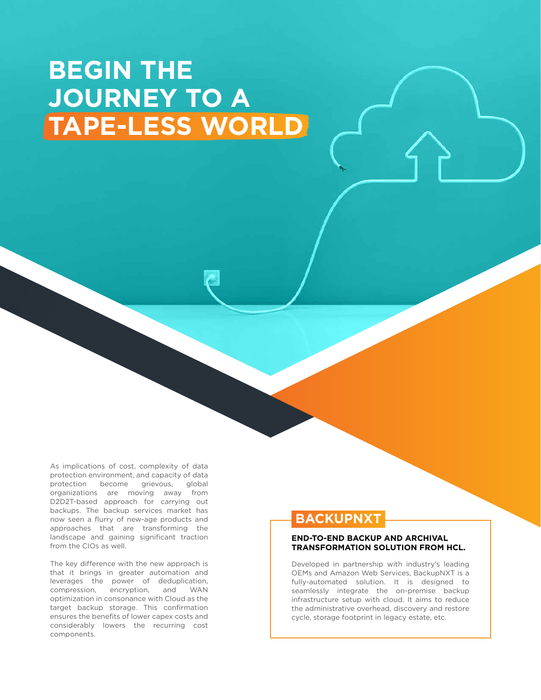# **BEGIN THE JOURNEY TO A TAPE-LESS WORLD**

As implications of cost, complexity of data protection environment, and capacity of data protection become grievous, global organizations are moving away from D2D2T-based approach for carrying out backups. The backup services market has now seen a flurry of new-age products and approaches that are transforming the landscape and gaining significant traction from the CIOs as well.

The key difference with the new approach is that it brings in greater automation and leverages the power of deduplication, compression, encryption, and WAN optimization in consonance with Cloud as the target backup storage. This confirmation ensures the benefits of lower capex costs and considerably lowers the recurring cost components.

### **BACKUPNXT**

#### **END-TO-END BACKUP AND ARCHIVAL TRANSFORMATION SOLUTION FROM HCL.**

Developed in partnership with industry's leading OEMs and Amazon Web Services, BackupNXT is a fully-automated solution. It is designed to seamlessly integrate the on-premise backup infrastructure setup with cloud. It aims to reduce the administrative overhead, discovery and restore cycle, storage footprint in legacy estate, etc.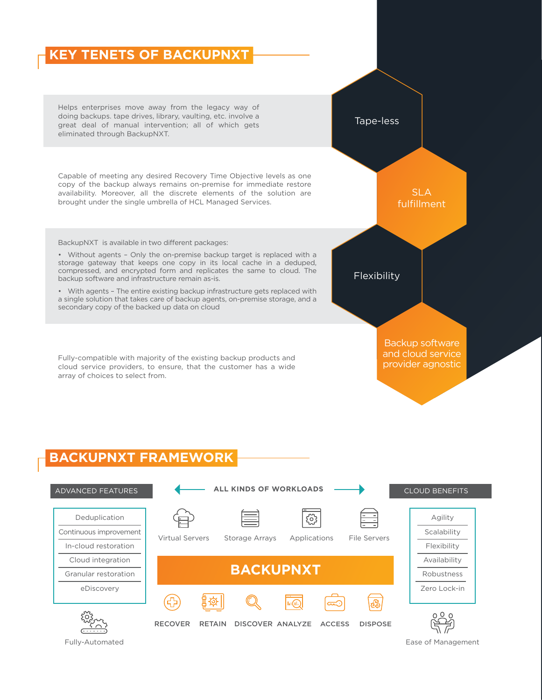# **KEY TENETS OF BACKUPNXT**

Helps enterprises move away from the legacy way of doing backups. tape drives, library, vaulting, etc. involve a great deal of manual intervention; all of which gets eliminated through BackupNXT.

Capable of meeting any desired Recovery Time Objective levels as one copy of the backup always remains on-premise for immediate restore availability. Moreover, all the discrete elements of the solution are brought under the single umbrella of HCL Managed Services.

BackupNXT is available in two different packages:

• Without agents – Only the on-premise backup target is replaced with a storage gateway that keeps one copy in its local cache in a deduped, compressed, and encrypted form and replicates the same to cloud. The backup software and infrastructure remain as-is.

• With agents – The entire existing backup infrastructure gets replaced with a single solution that takes care of backup agents, on-premise storage, and a secondary copy of the backed up data on cloud

Fully-compatible with majority of the existing backup products and cloud service providers, to ensure, that the customer has a wide array of choices to select from.

SLA fulfillment **Flexibility** Backup software and cloud service provider agnostic

Tape-less

### **BACKUPNXT FRAMEWORK**



Fully-Automated **East of Management** East of Management **East of Management**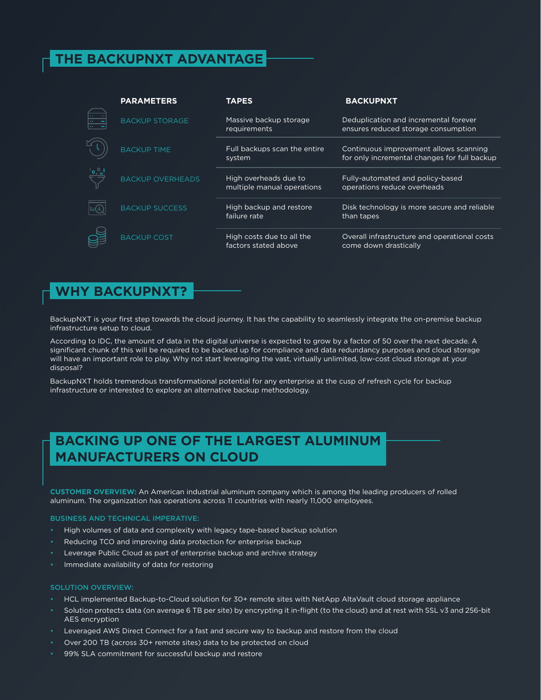## **THE BACKUPNXT ADVANTAGE**

| <b>PARAMETERS</b>       | <b>TAPES</b>                                        | <b>BACKUPNXT</b>                                                                       |
|-------------------------|-----------------------------------------------------|----------------------------------------------------------------------------------------|
| <b>BACKUP STORAGE</b>   | Massive backup storage<br><b>requirements</b>       | Deduplication and incremental forever<br>ensures reduced storage consumption           |
| <b>BACKUP TIME</b>      | Full backups scan the entire<br>system              | Continuous improvement allows scanning<br>for only incremental changes for full backup |
| <b>BACKUP OVERHEADS</b> | High overheads due to<br>multiple manual operations | Fully-automated and policy-based<br>operations reduce overheads                        |
| <b>BACKUP SUCCESS</b>   | High backup and restore<br>failure rate             | Disk technology is more secure and reliable<br>than tapes                              |
| <b>BACKUP COST</b>      | High costs due to all the<br>factors stated above   | Overall infrastructure and operational costs<br>come down drastically                  |

### **WHY BACKUPNXT?**

BackupNXT is your first step towards the cloud journey. It has the capability to seamlessly integrate the on-premise backup infrastructure setup to cloud.

According to IDC, the amount of data in the digital universe is expected to grow by a factor of 50 over the next decade. A significant chunk of this will be required to be backed up for compliance and data redundancy purposes and cloud storage will have an important role to play. Why not start leveraging the vast, virtually unlimited, low-cost cloud storage at your disposal?

BackupNXT holds tremendous transformational potential for any enterprise at the cusp of refresh cycle for backup infrastructure or interested to explore an alternative backup methodology.

### **BACKING UP ONE OF THE LARGEST ALUMINUM MANUFACTURERS ON CLOUD**

**CUSTOMER OVERVIEW:** An American industrial aluminum company which is among the leading producers of rolled aluminum. The organization has operations across 11 countries with nearly 11,000 employees.

#### BUSINESS AND TECHNICAL IMPERATIVE:

- High volumes of data and complexity with legacy tape-based backup solution
- Reducing TCO and improving data protection for enterprise backup
- Leverage Public Cloud as part of enterprise backup and archive strategy
- Immediate availability of data for restoring

#### SOLUTION OVERVIEW:

- HCL implemented Backup-to-Cloud solution for 30+ remote sites with NetApp AltaVault cloud storage appliance
- Solution protects data (on average 6 TB per site) by encrypting it in-flight (to the cloud) and at rest with SSL v3 and 256-bit AES encryption
- Leveraged AWS Direct Connect for a fast and secure way to backup and restore from the cloud
- Over 200 TB (across 30+ remote sites) data to be protected on cloud
- 99% SLA commitment for successful backup and restore